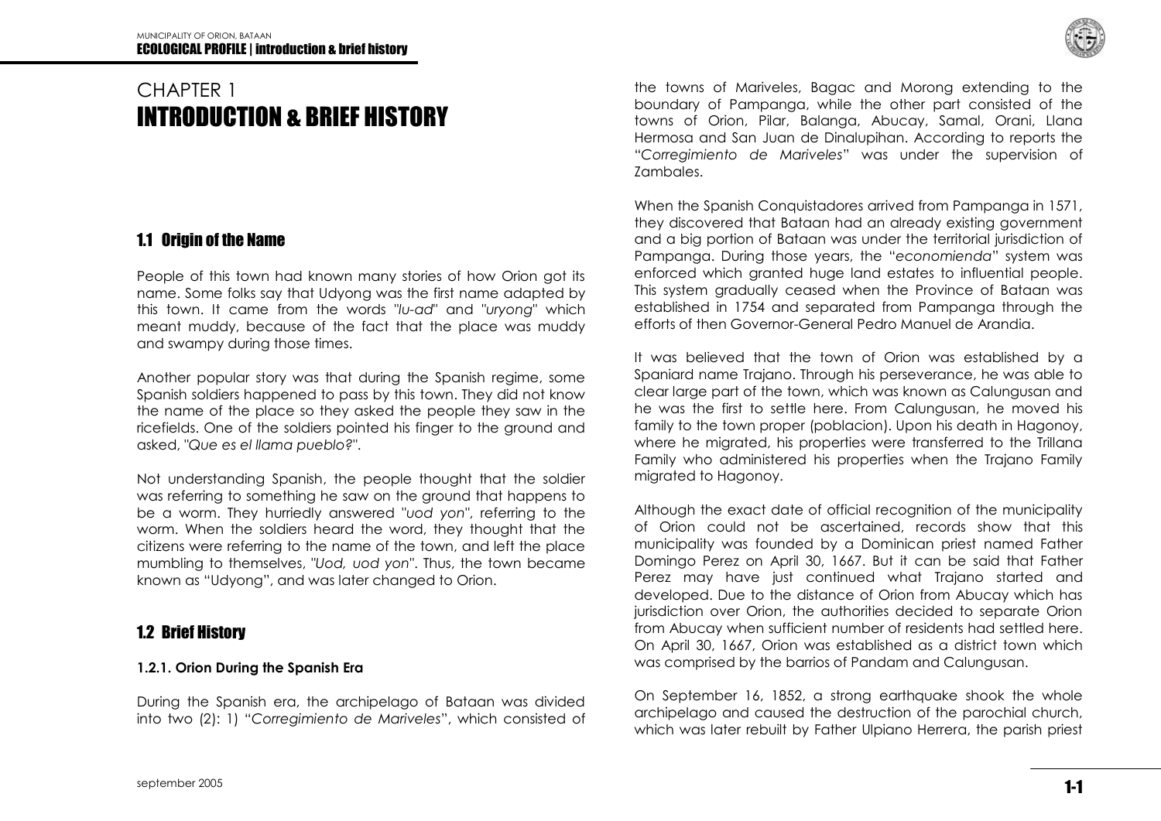# CHAPTER 1 INTRODUCTION & BRIEF HISTORY

### 1.1 Origin of the Name

People of this town had known many stories of how Orion got its name. Some folks say that Udyong was the first name adapted by this town. It came from the words "*lu-ad*" and "*uryong*" which meant muddy, because of the fact that the place was muddy and swampy during those times.

Another popular story was that during the Spanish regime, some Spanish soldiers happened to pass by this town. They did not know the name of the place so they asked the people they saw in the ricefields. One of the soldiers pointed his finger to the ground and asked, "*Que es el llama pueblo?*".

Not understanding Spanish, the people thought that the soldier was referring to something he saw on the ground that happens to be a worm. They hurriedly answered "*uod yon*", referring to the worm. When the soldiers heard the word, they thought that the citizens were referring to the name of the town, and left the place mumbling to themselves, "*Uod, uod yon*". Thus, the town became known as "Udyong", and was later changed to Orion.

## 1.2 Brief History

### **1.2.1. Orion During the Spanish Era**

During the Spanish era, the archipelago of Bataan was divided into two (2): 1) "Corregimiento de Mariveles", which consisted of

the towns of Mariveles, Bagac and Morong extending to the boundary of Pampanga, while the other part consisted of the towns of Orion, Pilar, Balanga, Abucay, Samal, Orani, Llana Hermosa and San Juan de Dinalupihan. According to reports the ―*Corregimiento de Mariveles*‖ was under the supervision of Zambales.

When the Spanish Conquistadores arrived from Pampanga in 1571, they discovered that Bataan had an already existing government and a big portion of Bataan was under the territorial jurisdiction of Pampanga. During those years, the "economienda" system was enforced which granted huge land estates to influential people. This system gradually ceased when the Province of Bataan was established in 1754 and separated from Pampanga through the efforts of then Governor-General Pedro Manuel de Arandia.

It was believed that the town of Orion was established by a Spaniard name Trajano. Through his perseverance, he was able to clear large part of the town, which was known as Calungusan and he was the first to settle here. From Calungusan, he moved his family to the town proper (poblacion). Upon his death in Hagonoy, where he migrated, his properties were transferred to the Trillana Family who administered his properties when the Trajano Family migrated to Hagonoy.

Although the exact date of official recognition of the municipality of Orion could not be ascertained, records show that this municipality was founded by a Dominican priest named Father Domingo Perez on April 30, 1667. But it can be said that Father Perez may have just continued what Trajano started and developed. Due to the distance of Orion from Abucay which has jurisdiction over Orion, the authorities decided to separate Orion from Abucay when sufficient number of residents had settled here. On April 30, 1667, Orion was established as a district town which was comprised by the barrios of Pandam and Calungusan.

On September 16, 1852, a strong earthquake shook the whole archipelago and caused the destruction of the parochial church, which was later rebuilt by Father Ulpiano Herrera, the parish priest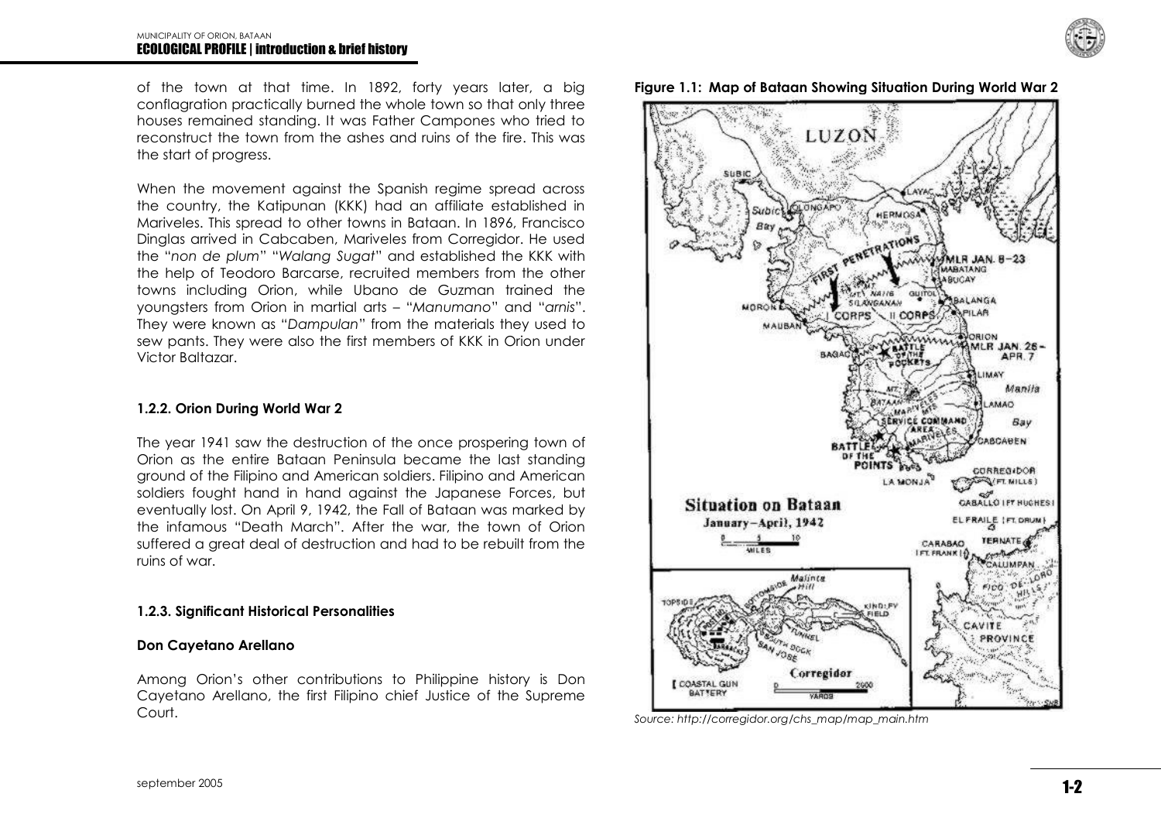of the town at that time. In 1892, forty years later, a big conflagration practically burned the whole town so that only three houses remained standing. It was Father Campones who tried to reconstruct the town from the ashes and ruins of the fire. This was the start of progress.

When the movement against the Spanish regime spread across the country, the Katipunan (KKK) had an affiliate established in Mariveles. This spread to other towns in Bataan. In 1896, Francisco Dinglas arrived in Cabcaben, Mariveles from Corregidor. He used the "non de plum" "Walang Sugat" and established the KKK with the help of Teodoro Barcarse, recruited members from the other towns including Orion, while Ubano de Guzman trained the youngsters from Orion in martial arts – "Manumano" and "arnis". They were known as "Dampulan" from the materials they used to sew pants. They were also the first members of KKK in Orion under Victor Baltazar.

#### **1.2.2. Orion During World War 2**

The year 1941 saw the destruction of the once prospering town of Orion as the entire Bataan Peninsula became the last standing ground of the Filipino and American soldiers. Filipino and American soldiers fought hand in hand against the Japanese Forces, but eventually lost. On April 9, 1942, the Fall of Bataan was marked by the infamous "Death March". After the war, the town of Orion suffered a great deal of destruction and had to be rebuilt from the ruins of war.

#### **1.2.3. Significant Historical Personalities**

#### **Don Cayetano Arellano**

Among Orion's other contributions to Philippine history is Don Cayetano Arellano, the first Filipino chief Justice of the Supreme Court.







*Source: http://corregidor.org/chs\_map/map\_main.htm*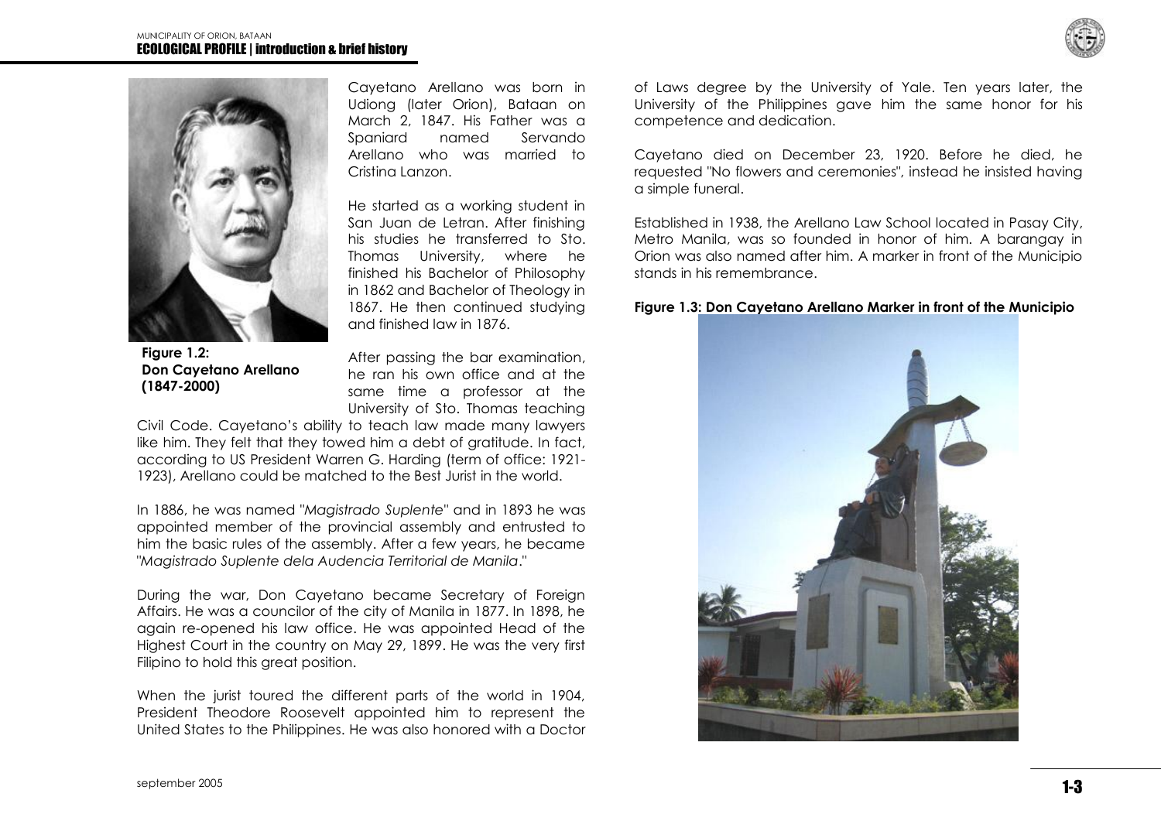



Cayetano Arellano was born in Udiong (later Orion), Bataan on March 2, 1847. His Father was a Spaniard named Servando Arellano who was married to Cristina Lanzon.

He started as a working student in San Juan de Letran. After finishing his studies he transferred to Sto. Thomas University, where he finished his Bachelor of Philosophy in 1862 and Bachelor of Theology in 1867. He then continued studying and finished law in 1876.

**Figure 1.2: Don Cayetano Arellano (1847-2000)**

After passing the bar examination, he ran his own office and at the same time a professor at the University of Sto. Thomas teaching

Civil Code. Cayetano's ability to teach law made many lawyers like him. They felt that they towed him a debt of gratitude. In fact, according to US President Warren G. Harding (term of office: 1921- 1923), Arellano could be matched to the Best Jurist in the world.

In 1886, he was named "*Magistrado Suplente*" and in 1893 he was appointed member of the provincial assembly and entrusted to him the basic rules of the assembly. After a few years, he became "*Magistrado Suplente dela Audencia Territorial de Manila*."

During the war, Don Cayetano became Secretary of Foreign Affairs. He was a councilor of the city of Manila in 1877. In 1898, he again re-opened his law office. He was appointed Head of the Highest Court in the country on May 29, 1899. He was the very first Filipino to hold this great position.

When the jurist toured the different parts of the world in 1904, President Theodore Roosevelt appointed him to represent the United States to the Philippines. He was also honored with a Doctor of Laws degree by the University of Yale. Ten years later, the University of the Philippines gave him the same honor for his competence and dedication.

Cayetano died on December 23, 1920. Before he died, he requested "No flowers and ceremonies", instead he insisted having a simple funeral.

Established in 1938, the Arellano Law School located in Pasay City, Metro Manila, was so founded in honor of him. A barangay in Orion was also named after him. A marker in front of the Municipio stands in his remembrance.

#### **Figure 1.3: Don Cayetano Arellano Marker in front of the Municipio**